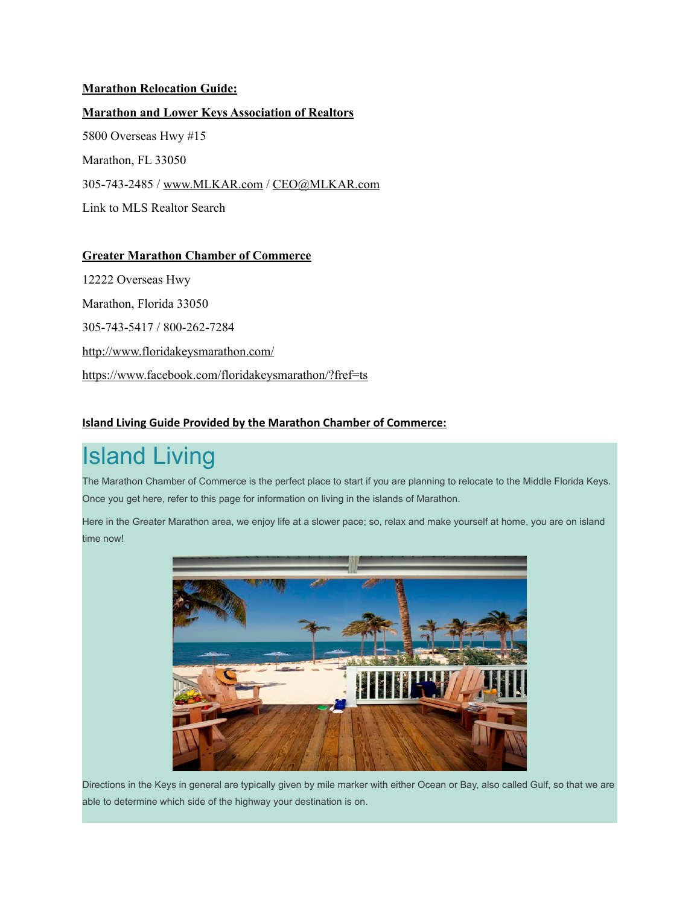### **Marathon Relocation Guide:**

### **Marathon and Lower Keys Association of Realtors**

5800 Overseas Hwy #15 Marathon, FL 33050 305-743-2485 / [www.MLKAR.com](http://www.MLKAR.com) / [CEO@MLKAR.com](mailto:CEO@MLKAR.com) Link to MLS Realtor Search

#### **Greater Marathon Chamber of Commerce**

12222 Overseas Hwy Marathon, Florida 33050 305-743-5417 / 800-262-7284 <http://www.floridakeysmarathon.com/> <https://www.facebook.com/floridakeysmarathon/?fref=ts>

## **Island Living Guide Provided by the Marathon Chamber of Commerce:**

# Island Living

The Marathon Chamber of Commerce is the perfect place to start if you are planning to relocate to the Middle Florida Keys. Once you get here, refer to this page for information on living in the islands of Marathon.

Here in the Greater Marathon area, we enjoy life at a slower pace; so, relax and make yourself at home, you are on island time now!



Directions in the Keys in general are typically given by mile marker with either Ocean or Bay, also called Gulf, so that we are able to determine which side of the highway your destination is on.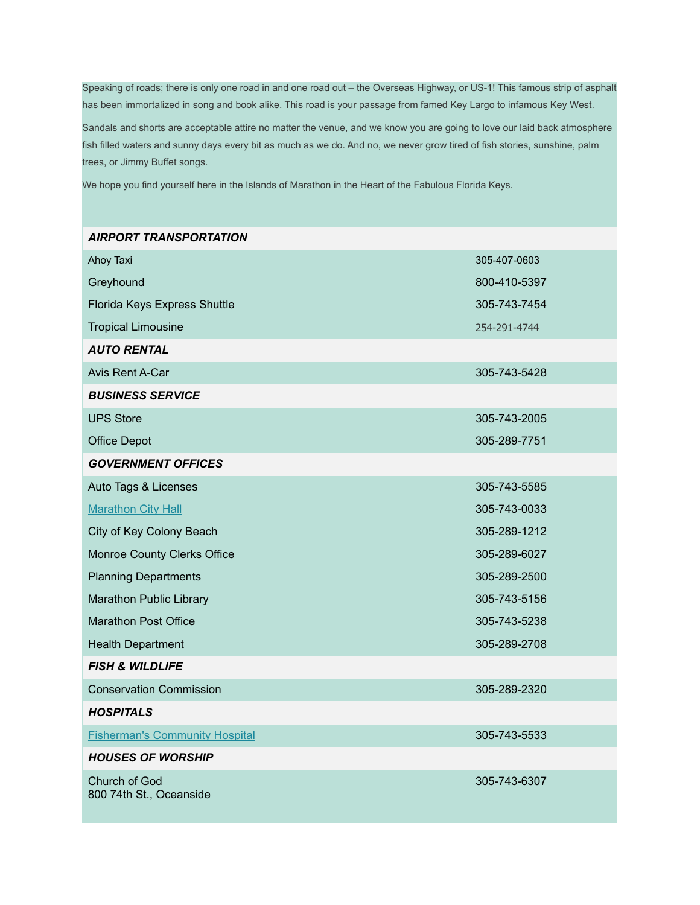Speaking of roads; there is only one road in and one road out – the Overseas Highway, or US-1! This famous strip of asphalt has been immortalized in song and book alike. This road is your passage from famed Key Largo to infamous Key West.

Sandals and shorts are acceptable attire no matter the venue, and we know you are going to love our laid back atmosphere fish filled waters and sunny days every bit as much as we do. And no, we never grow tired of fish stories, sunshine, palm trees, or Jimmy Buffet songs.

We hope you find yourself here in the Islands of Marathon in the Heart of the Fabulous Florida Keys.

| <b>AIRPORT TRANSPORTATION</b>            |              |
|------------------------------------------|--------------|
| Ahoy Taxi                                | 305-407-0603 |
| Greyhound                                | 800-410-5397 |
| Florida Keys Express Shuttle             | 305-743-7454 |
| <b>Tropical Limousine</b>                | 254-291-4744 |
| <b>AUTO RENTAL</b>                       |              |
| Avis Rent A-Car                          | 305-743-5428 |
| <b>BUSINESS SERVICE</b>                  |              |
| <b>UPS Store</b>                         | 305-743-2005 |
| <b>Office Depot</b>                      | 305-289-7751 |
| <b>GOVERNMENT OFFICES</b>                |              |
| Auto Tags & Licenses                     | 305-743-5585 |
| <b>Marathon City Hall</b>                | 305-743-0033 |
| City of Key Colony Beach                 | 305-289-1212 |
| Monroe County Clerks Office              | 305-289-6027 |
| <b>Planning Departments</b>              | 305-289-2500 |
| Marathon Public Library                  | 305-743-5156 |
| <b>Marathon Post Office</b>              | 305-743-5238 |
| <b>Health Department</b>                 | 305-289-2708 |
| <b>FISH &amp; WILDLIFE</b>               |              |
| <b>Conservation Commission</b>           | 305-289-2320 |
| <b>HOSPITALS</b>                         |              |
| <b>Fisherman's Community Hospital</b>    | 305-743-5533 |
| <b>HOUSES OF WORSHIP</b>                 |              |
| Church of God<br>800 74th St., Oceanside | 305-743-6307 |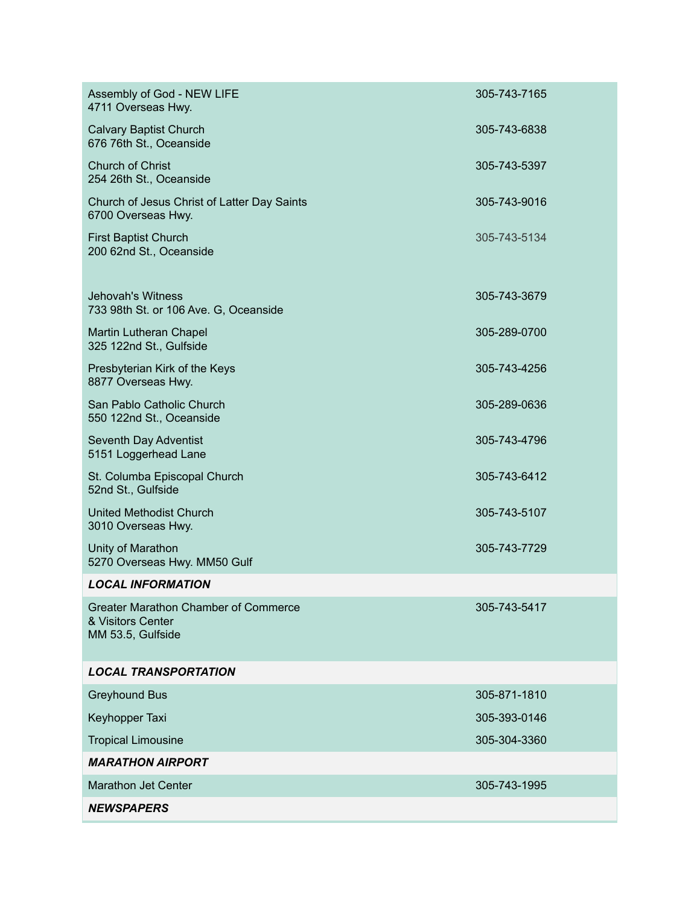| Assembly of God - NEW LIFE<br>4711 Overseas Hwy.                                      | 305-743-7165 |
|---------------------------------------------------------------------------------------|--------------|
| <b>Calvary Baptist Church</b><br>676 76th St., Oceanside                              | 305-743-6838 |
| <b>Church of Christ</b><br>254 26th St., Oceanside                                    | 305-743-5397 |
| Church of Jesus Christ of Latter Day Saints<br>6700 Overseas Hwy.                     | 305-743-9016 |
| <b>First Baptist Church</b><br>200 62nd St., Oceanside                                | 305-743-5134 |
| Jehovah's Witness<br>733 98th St. or 106 Ave. G, Oceanside                            | 305-743-3679 |
| Martin Lutheran Chapel<br>325 122nd St., Gulfside                                     | 305-289-0700 |
| Presbyterian Kirk of the Keys<br>8877 Overseas Hwy.                                   | 305-743-4256 |
| San Pablo Catholic Church<br>550 122nd St., Oceanside                                 | 305-289-0636 |
| Seventh Day Adventist<br>5151 Loggerhead Lane                                         | 305-743-4796 |
| St. Columba Episcopal Church<br>52nd St., Gulfside                                    | 305-743-6412 |
| <b>United Methodist Church</b><br>3010 Overseas Hwy.                                  | 305-743-5107 |
| Unity of Marathon<br>5270 Overseas Hwy. MM50 Gulf                                     | 305-743-7729 |
| <b>LOCAL INFORMATION</b>                                                              |              |
| <b>Greater Marathon Chamber of Commerce</b><br>& Visitors Center<br>MM 53.5, Gulfside | 305-743-5417 |
| <b>LOCAL TRANSPORTATION</b>                                                           |              |
| <b>Greyhound Bus</b>                                                                  | 305-871-1810 |
| Keyhopper Taxi                                                                        | 305-393-0146 |
| <b>Tropical Limousine</b>                                                             | 305-304-3360 |
| <b>MARATHON AIRPORT</b>                                                               |              |
| <b>Marathon Jet Center</b>                                                            | 305-743-1995 |
| <b>NEWSPAPERS</b>                                                                     |              |